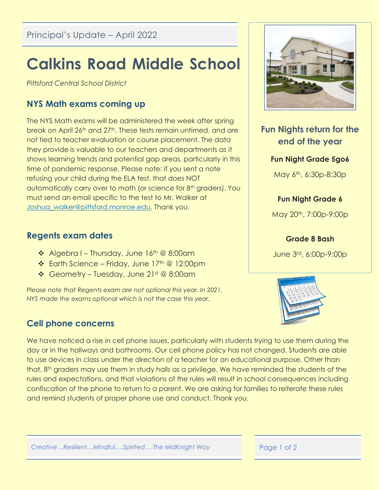# **Calkins Road Middle School**

*Pittsford Central School District*

## **NYS Math exams coming up**

The NYS Math exams will be administered the week after spring break on April 26th and 27th. These tests remain untimed, and are not tied to teacher evaluation or course placement. The data they provide is valuable to our teachers and departments as it shows learning trends and potential gap areas, particularly in this time of pandemic response. Please note: if you sent a note refusing your child during the ELA test, that does NOT automatically carry over to math (or science for 8<sup>th</sup> graders). You must send an email specific to the test to Mr. Walker at Joshua walker@pittsford.monroe.edu. Thank you.

### **Regents exam dates**

- ◆ Algebra I Thursday, June 16th @ 8:00am
- $\div$  Earth Science Friday, June 17<sup>th</sup> @ 12:00pm
- Geometry Tuesday, June 21st @ 8:00am

*Please note that Regents exam are not optional this year. In 2021, NYS made the exams optional which is not the case this year.*

# **Cell phone concerns**



# **Fun Nights return for the end of the year**

#### **Fun Night Grade 5go6**

May 6th, 6:30p-8:30p

#### **Fun Night Grade 6**

May 20th, 7:00p-9:00p

#### **Grade 8 Bash**

June 3rd, 6:00p-9:00p



We have noticed a rise in cell phone issues, particularly with students trying to use them during the day or in the hallways and bathrooms. Our cell phone policy has not changed. Students are able to use devices in class under the direction of a teacher for an educational purpose. Other than that, 8th graders may use them in study halls as a privilege. We have reminded the students of the rules and expectations, and that violations of the rules will result in school consequences including confiscation of the phone to return to a parent. We are asking for families to reiterate these rules and remind students of proper phone use and conduct. Thank you.